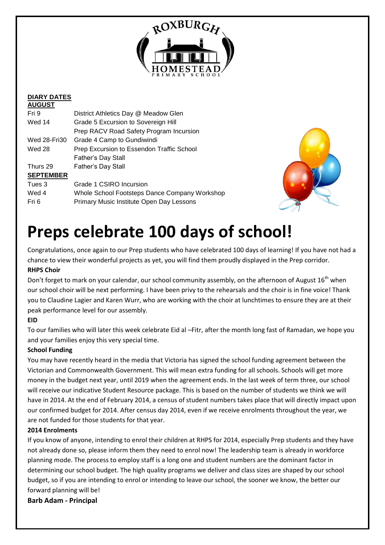

### **DIARY DATES**

| <b>AUGUST</b>       |                                               |
|---------------------|-----------------------------------------------|
| Fri 9               | District Athletics Day @ Meadow Glen          |
| Wed 14              | Grade 5 Excursion to Sovereign Hill           |
|                     | Prep RACV Road Safety Program Incursion       |
| <b>Wed 28-Fri30</b> | Grade 4 Camp to Gundiwindi                    |
| Wed 28              | Prep Excursion to Essendon Traffic School     |
|                     | Father's Day Stall                            |
| Thurs 29            | <b>Father's Day Stall</b>                     |
| <b>SEPTEMBER</b>    |                                               |
| Tues 3              | Grade 1 CSIRO Incursion                       |
| Wed 4               | Whole School Footsteps Dance Company Workshop |
| Fri 6               | Primary Music Institute Open Day Lessons      |
|                     |                                               |



## **Preps celebrate 100 days of school!**

Congratulations, once again to our Prep students who have celebrated 100 days of learning! If you have not had a chance to view their wonderful projects as yet, you will find them proudly displayed in the Prep corridor. **RHPS Choir**

Don't forget to mark on your calendar, our school community assembly, on the afternoon of August 16<sup>th</sup> when our school choir will be next performing. I have been privy to the rehearsals and the choir is in fine voice! Thank you to Claudine Lagier and Karen Wurr, who are working with the choir at lunchtimes to ensure they are at their peak performance level for our assembly.

#### **EID**

To our families who will later this week celebrate Eid al –Fitr, after the month long fast of Ramadan, we hope you and your families enjoy this very special time.

#### **School Funding**

You may have recently heard in the media that Victoria has signed the school funding agreement between the Victorian and Commonwealth Government. This will mean extra funding for all schools. Schools will get more money in the budget next year, until 2019 when the agreement ends. In the last week of term three, our school will receive our indicative Student Resource package. This is based on the number of students we think we will have in 2014. At the end of February 2014, a census of student numbers takes place that will directly impact upon our confirmed budget for 2014. After census day 2014, even if we receive enrolments throughout the year, we are not funded for those students for that year.

#### **2014 Enrolments**

If you know of anyone, intending to enrol their children at RHPS for 2014, especially Prep students and they have not already done so, please inform them they need to enrol now! The leadership team is already in workforce planning mode. The process to employ staff is a long one and student numbers are the dominant factor in determining our school budget. The high quality programs we deliver and class sizes are shaped by our school budget, so if you are intending to enrol or intending to leave our school, the sooner we know, the better our forward planning will be!

**Barb Adam - Principal**